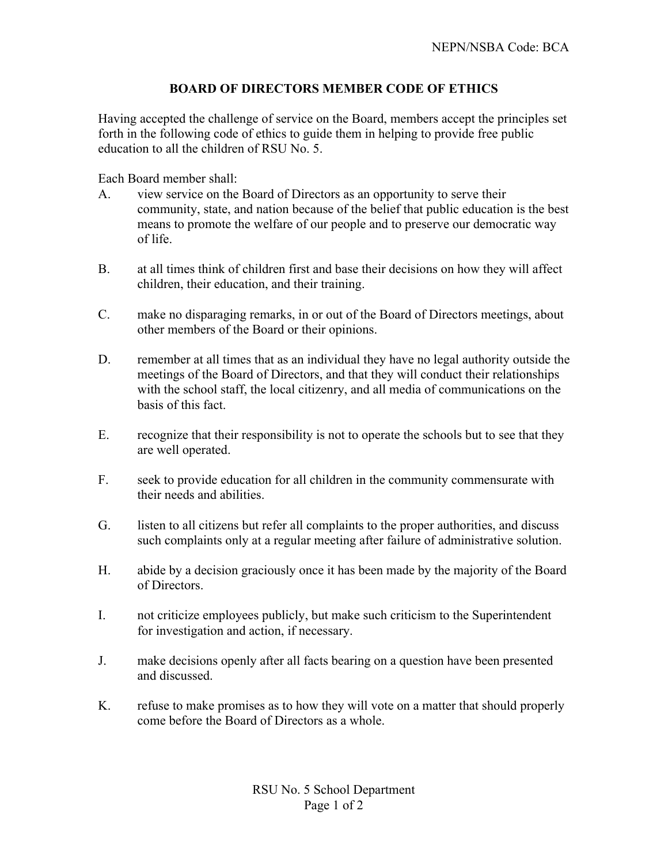## **BOARD OF DIRECTORS MEMBER CODE OF ETHICS**

Having accepted the challenge of service on the Board, members accept the principles set forth in the following code of ethics to guide them in helping to provide free public education to all the children of RSU No. 5.

Each Board member shall:

- A. view service on the Board of Directors as an opportunity to serve their community, state, and nation because of the belief that public education is the best means to promote the welfare of our people and to preserve our democratic way of life.
- B. at all times think of children first and base their decisions on how they will affect children, their education, and their training.
- C. make no disparaging remarks, in or out of the Board of Directors meetings, about other members of the Board or their opinions.
- D. remember at all times that as an individual they have no legal authority outside the meetings of the Board of Directors, and that they will conduct their relationships with the school staff, the local citizenry, and all media of communications on the basis of this fact.
- E. recognize that their responsibility is not to operate the schools but to see that they are well operated.
- F. seek to provide education for all children in the community commensurate with their needs and abilities.
- G. listen to all citizens but refer all complaints to the proper authorities, and discuss such complaints only at a regular meeting after failure of administrative solution.
- H. abide by a decision graciously once it has been made by the majority of the Board of Directors.
- I. not criticize employees publicly, but make such criticism to the Superintendent for investigation and action, if necessary.
- J. make decisions openly after all facts bearing on a question have been presented and discussed.
- K. refuse to make promises as to how they will vote on a matter that should properly come before the Board of Directors as a whole.